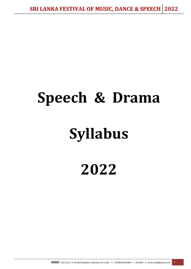# **Speech & Drama**

# **Syllabus**

**2022**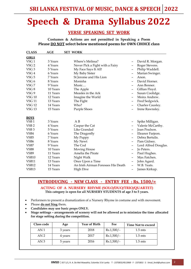# **Speech & Drama Syllabus 2022**

#### **VERSE SPEAKING SET WORK**

**Costumes & Actions are not permitted in Speaking a Poem Please DO NOT select below mentioned poems for OWN CHOICE class**

| <b>CLASS</b>      | AGE      | <b>SET WORK</b>                    |                              |                      |
|-------------------|----------|------------------------------------|------------------------------|----------------------|
| <b>GIRLS</b>      |          |                                    |                              |                      |
| VSG <sub>1</sub>  | 3 Years  | Where's Melissa?                   | -                            | David R. Morgan.     |
| VSG 2             | 4 Years  | Never Pick a Fight with a Fairy    | -                            | Roger Stevens.       |
| VSG <sub>3</sub>  | 5 Years  | My Face Says It All!               | $\qquad \qquad \blacksquare$ | Philip Waddell.      |
| VSG 4             | 6 Years  | My Baby Sister                     |                              | Marian Swinger.      |
| VSG <sub>5</sub>  | 7 Years  | St Jerome and His Lion             | $\qquad \qquad \blacksquare$ | Anon.                |
| VSG 6             | 8 Years  | Monisha                            |                              | David Horner.        |
| VSG7              | 9 Years  | Music                              | $\qquad \qquad \blacksquare$ | Ann Bonner.          |
| VSG <sub>8</sub>  | 10 Years | The Apple                          |                              | Gillian Floyd.       |
| VSG <sub>9</sub>  | 11 Years | Measles in the Ark                 | $\qquad \qquad \blacksquare$ | Susan Coolidge.      |
| <b>VSG 10</b>     | 12 Years | Imagine the World                  |                              | Moira Andrew.        |
| <b>VSG 11</b>     | 13 Years | The Fight                          | $\qquad \qquad \blacksquare$ | Fred Sedgwick.       |
| <b>VSG 12</b>     | 14 Years | Who?                               |                              | Charles Causley.     |
| <b>VSG 13</b>     | 15 Years | Purple Shoes                       |                              | Irene Rawnsley.      |
|                   |          |                                    |                              |                      |
| <b>BOYS</b>       |          |                                    |                              |                      |
| VSB <sub>1</sub>  | 3 Years  | A B                                | $\overline{\phantom{0}}$     | Spike Milligan.      |
| VSB <sub>2</sub>  | 4 Years  | Caspar the Cat                     |                              | Valerie McCarthy.    |
| VSB <sub>3</sub>  | 5 Years  | Like Grandad                       |                              | Joan Poulson.        |
| VSB4              | 6 Years  | The Dragonfly                      |                              | Eleanor Farjeon.     |
| VSB <sub>5</sub>  | 7 Years  | My Puppy                           |                              | Debra Bertulis.      |
| VSB <sub>6</sub>  | 8 Years  | My Newt                            | $\qquad \qquad \blacksquare$ | Pam Gidney.          |
| VSB7              | 9 Years  | The Cod                            | $\qquad \qquad$              | Lord Alfred Douglas. |
| VSB <sub>8</sub>  | 10 Years | Moving House                       | $\qquad \qquad \blacksquare$ | Jo Peters.           |
| VSB9              | 11 Years | Amelia the Pirate                  | $\qquad \qquad \blacksquare$ | Paul Hughes.         |
| VSB <sub>10</sub> | 12 Years | Night Walk                         | $\qquad \qquad \blacksquare$ | Max Fatchen.         |
| VSB11             | 13 Years | Once Upon a Time                   | $\qquad \qquad \blacksquare$ | John Agard.          |
| VSB <sub>12</sub> | 14 Years | An Irish Airman Foresees His Death |                              | W.B. Yeats.          |
| VSB <sub>13</sub> | 15 Years | <b>High Dive</b>                   | -                            | James Kirkup.        |

#### **INTRODUCING - NEW CLASS - ENTRY FEE : Rs. 1500/=**

**ACTING OF A NURSERY RHYME (SOLO/DUO/TRIO/QUARTET) This category is open for all NURSERY STUDENTS of age 3 to 5 years.**

- Performers to present a dramatization of a Nursery Rhyme in costume and with movement.
- Please **do not Sing** them**.**
- **Candidates may use basic props ONLY.**
- **Stage settings – arrangements of scenery will not be allowed as to minimize the time allocated for stage setting during the competition.**

| Class code      | Age     | <b>Year of Birth</b> | Fee          | <b>Time Not to exceed</b> |
|-----------------|---------|----------------------|--------------|---------------------------|
| AN <sub>1</sub> | 3 years | 2018                 | $Rs.1,500/-$ | $1.5 \text{ mts}$         |
| AN <sub>2</sub> | 4 years | 2017                 | $Rs.1,500/-$ | $1.5 \text{ mts}$         |
| AN 3            | 5 years | 2016                 | $Rs.1,500/-$ | $1.5 \text{ mts}$         |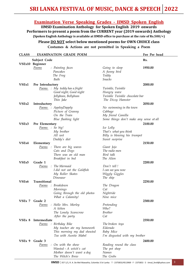#### **Examination Verse Speaking Grades - IIMSD Spoken English**

**IIMSD Examination Anthology for Spoken English 2019 onwards Performers to present a poem from the CURRENT year (2019 onwards) Anthology (Spoken English Anthology is available at IIMSD office to purchase at the rate of Rs.500/=)**

#### **Please DO NOT select below mentioned poems for OWN CHOICE class**

**Costumes & Actions are not permitted in Speaking a Poem** 

| <b>CLASS</b> |                  | <b>EXAMINATION GRADE POEM</b> |                                         | <u>Fee Per head</u> |
|--------------|------------------|-------------------------------|-----------------------------------------|---------------------|
|              | Subject Code     |                               |                                         | Rs.                 |
|              | VSEx10 Beginner  |                               |                                         |                     |
|              | <u>Poems</u>     | : Painting faces              | Going to sleep                          | 1950.00             |
|              |                  | Pancakes                      | A funny bird                            |                     |
|              |                  | The Frog                      | Teddy                                   |                     |
|              |                  | Bath                          | <b>Snacks</b>                           |                     |
| VSEx1        | Pre Introductory |                               |                                         | 2000.00             |
|              |                  | Poems : My teddy has a fright | Twinkle, Twinkle                        |                     |
|              |                  | Good night, Good night        | Hungry wave                             |                     |
|              |                  | Jellybean, Bellybean          | Twinkle Twinkle chocolate bar           |                     |
|              |                  | Thin Jake                     | The Dizzy Hamster                       |                     |
| VSEx2        | Introductory     |                               |                                         | 2050.00             |
|              |                  | Poems : AppleyDapply          | No swimming in the town                 |                     |
|              |                  | Picture of Granny             | Cabbage                                 |                     |
|              |                  | On the Train                  | My friend Camilla                       |                     |
|              |                  | Blue flashing light           | Some things don't make any sense at all |                     |
| VSEx3        | Pre Elementary   |                               |                                         | 2100.00             |
|              | Poems : So big!  |                               | Ice Lolly                               |                     |
|              |                  | My brother                    | That's what you think                   |                     |
|              |                  | All wet                       | Billy is blowing his trumpet            |                     |
|              |                  | Daddy's diet                  | Sweet surprise                          |                     |
| VSEx4        | Elementary       |                               |                                         | 2150.00             |
|              |                  | Poems : There are big waves   | Giant Jojo                              |                     |
|              |                  | Cats and Dogs                 | The radio men                           |                     |
|              |                  | There was an old man          | Bird talk                               |                     |
|              |                  | Breakfast in bed              | The Alien                               |                     |
| VSEx5        | Grade 1          |                               |                                         | 2200.00             |
|              | Poems            | : The Mermaid                 | Don't tell!                             |                     |
|              |                  | I did not eat the Goldfish    | I can see you now                       |                     |
|              |                  | My Roller Skates              | Wiggly Giggles                          |                     |
|              |                  | Dinosaur                      | The ship                                |                     |
| VSEx6        | Transitional     |                               |                                         | 2250.00             |
|              | Poems            | : Breakdown                   | The Dragon                              |                     |
|              |                  | Mornings                      | Cat                                     |                     |
|              |                  | Going through the old photos  | Nightride                               |                     |
|              |                  | What a Calamity!              | Nine mice                               |                     |
|              | VSEx 7 Grade 2   |                               |                                         | 2300.00             |
|              | Poems            | : Hello Mrs. Morley           | Pretending                              |                     |
|              |                  | A kitten                      | Who?                                    |                     |
|              |                  | The Lonely Scarecrow          | <b>Brother</b>                          |                     |
|              |                  | After the party               | Cat                                     |                     |
| VSEx 8       | Intermediate     |                               |                                         | 2350.00             |
|              |                  | Poems : Birthday Bike         | The broken toys                         |                     |
|              |                  | My teacher ate my homework    | Eldorado                                |                     |
|              |                  | This morning my dad shouted   | Baby Mice                               |                     |
|              |                  | Tea with Auntie Mabel         | I'm disgusted with my brother           |                     |
|              | VSEx 9 Grade 3   |                               |                                         | 2400.00             |
|              | Poems            | : On with the show            | Reading round the class                 |                     |
|              |                  | Wanted - A witch's cat        | The pet shop                            |                     |
|              |                  | Mother doesn't want a dog     | Names                                   |                     |
|              |                  | The Witch's Brew              | The Grebs                               |                     |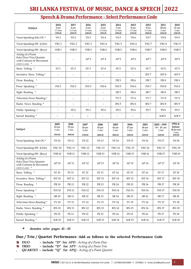### **Speech & Drama Performance - Select Performance Code**

| Subject                                                                                | 2018<br>3 yrs<br>$1.5$ mts<br>1950.00 | 2017<br>4 yrs<br>$1.5$ mts<br>2050.00 | 2016<br>5 yrs<br>$1.5$ mts<br>2200.00 | 2015<br>6 yrs<br>$1.5$ mts<br>2250.00 | 2014<br>7 yrs<br>$1.5$ mts<br>2300.00 | 2013<br>8 yrs<br>$1.5$ mts<br>2350.00 | 2012<br>9 yrs<br>$1.5$ mts<br>2400.00 | 2011<br>10 yrs<br>2 mts<br>2450.00    | 2010<br>11 yrs<br>2 mts<br>2500.00     |
|----------------------------------------------------------------------------------------|---------------------------------------|---------------------------------------|---------------------------------------|---------------------------------------|---------------------------------------|---------------------------------------|---------------------------------------|---------------------------------------|----------------------------------------|
| Verse Speaking Solo OC*                                                                | VS <sub>1</sub>                       | VS <sub>2</sub>                       | VS <sub>3</sub>                       | VS <sub>4</sub>                       | VS <sub>5</sub>                       | VS <sub>6</sub>                       | VS <sub>7</sub>                       | VS <sub>8</sub>                       | VS <sub>9</sub>                        |
| Verse Speaking SW (Girls)                                                              | VSG <sub>1</sub>                      | VSG <sub>2</sub>                      | VSG <sub>3</sub>                      | VSG 4                                 | VSG <sub>5</sub>                      | VSG 6                                 | VSG7                                  | VSG 8                                 | VSG 9                                  |
| Verse Speaking SW (Boys)                                                               | VSB <sub>1</sub>                      | VSB <sub>2</sub>                      | VSB <sub>3</sub>                      | VSB <sub>4</sub>                      | VSB <sub>5</sub>                      | VSB <sub>6</sub>                      | VSB <sub>7</sub>                      | VSB <sub>8</sub>                      | VSB <sub>9</sub>                       |
| Acting of a Poem<br>Solo/Duo/Trio/Quartet-<br>with Costume & Movement<br>(NEW CLASS) * |                                       | $\overline{\phantom{a}}$              | AP <sub>3</sub>                       | AP <sub>4</sub>                       | ${\rm AP}$ 5                          | AP <sub>6</sub>                       | AP <sub>7</sub>                       | AP <sub>8</sub>                       | AP <sub>9</sub>                        |
| Story Telling *                                                                        | ST <sub>1</sub>                       | ST <sub>2</sub>                       | ST <sub>3</sub>                       | ST <sub>4</sub>                       | ST <sub>5</sub>                       | ST <sub>6</sub>                       | ${\rm ST}$ 7                          | ST <sub>8</sub>                       | ST <sub>9</sub>                        |
| Inventive Story Telling*                                                               | $\overline{a}$                        | $\overline{\phantom{a}}$              | $\overline{\phantom{a}}$              | $\overline{\phantom{a}}$              | $\overline{\phantom{a}}$              | $\overline{\phantom{a}}$              | IST <sub>7</sub>                      | IST <sub>8</sub>                      | IST <sub>9</sub>                       |
| Prose Reading *                                                                        | $\overline{a}$                        | $\overline{\phantom{a}}$              | $\overline{\phantom{a}}$              | $\overline{\phantom{a}}$              | PR 5                                  | PR <sub>6</sub>                       | PR <sub>7</sub>                       | PR <sub>8</sub>                       | PR <sub>9</sub>                        |
| Prose Speaking *                                                                       | PrS <sub>1</sub>                      | PrS <sub>2</sub>                      | PrS <sub>3</sub>                      | PrS 4                                 | PrS <sub>5</sub>                      | PrS <sub>6</sub>                      | PrS <sub>7</sub>                      | PrS 8                                 | PrS 9                                  |
| Sight Reading *                                                                        | $\overline{a}$                        | $\overline{a}$                        |                                       | $\overline{\phantom{a}}$              | SR <sub>5</sub>                       | SR <sub>6</sub>                       | SR <sub>7</sub>                       | SR <sub>8</sub>                       | SR <sub>9</sub>                        |
| Television News Reading*                                                               | $\frac{1}{2}$                         | $\overline{\phantom{a}}$              | $\overline{a}$                        | $\omega$                              | TV <sub>5</sub>                       | TV <sub>6</sub>                       | ${\rm TV}\,7$                         | $\operatorname{TV}8$                  | TV <sub>9</sub>                        |
| Radio News Reading *                                                                   | $\overline{a}$                        | $\overline{a}$                        | $\overline{\phantom{a}}$              | $\overline{\phantom{a}}$              | RN 5                                  | RN <sub>6</sub>                       | RN 7                                  | RN <sub>8</sub>                       | RN <sub>9</sub>                        |
| Public Speaking *                                                                      | $\overline{a}$                        | PS <sub>2</sub>                       | PS <sub>3</sub>                       | PS <sub>4</sub>                       | PS <sub>5</sub>                       | PS <sub>6</sub>                       | PS <sub>7</sub>                       | PS <sub>8</sub>                       | PS <sub>9</sub>                        |
| Sacred Reading *                                                                       | $\overline{a}$                        |                                       | $\overline{\phantom{a}}$              | $\overline{\phantom{a}}$              | $\overline{\phantom{a}}$              | $\overline{\phantom{a}}$              | $\overline{\phantom{a}}$              | ScR 8                                 | ScR 9                                  |
|                                                                                        |                                       |                                       |                                       |                                       |                                       |                                       |                                       |                                       |                                        |
| Subject                                                                                | 2009<br>12 yrs<br>2 mts<br>2550.00    | 2008<br>13 yrs<br>2 mts<br>2600.00    | 2007<br>14 yrs<br>2 mts               | 2006<br>15 yrs<br>3 mts               | 2005<br>16 yrs<br>3 mts               | 2004<br>17 yrs<br>3 mts               | 2003<br>18 yrs<br>3 mts               | 2002 - 1995<br>$19 - 25$ yrs<br>3 mts | 1994 &<br>before<br>26 & over<br>3 mts |
| Verse Speaking Solo OC*                                                                | <b>VS 10</b>                          | <b>VS 11</b>                          | 2700.00<br><b>VS12</b>                | 2800.00<br><b>VS13</b>                | 3000.00<br><b>VS14</b>                | 3200.00<br><b>VS 15</b>               | 3450.00<br><b>VS16</b>                | 4450.00<br><b>VS17</b>                | 5250.00<br><b>VS18</b>                 |
| Verse Speaking SW (Girls)                                                              | $VSG\,10$                             | <b>VSG 11</b>                         | <b>VSG 12</b>                         | <b>VSG 13</b>                         | <b>VSG 14</b>                         | <b>VSG 15</b>                         | <b>VSG 16</b>                         | <b>VSG 17</b>                         | <b>VSG 18</b>                          |
| Verse Speaking SW (Boys)                                                               | <b>VSB 10</b>                         | <b>VSB 11</b>                         | <b>VSB 12</b>                         | <b>VSB 13</b>                         | <b>VSB 14</b>                         | <b>VSB 15</b>                         | <b>VSB 16</b>                         | <b>VSB 17</b>                         | <b>VSB 18</b>                          |
| Acting of a Poem<br>Solo/Duo/Trio/Quartet-<br>with Costume & Movement<br>(NEW CLASS) * | AP 10                                 | AP 11                                 | AP 12                                 | AP 13                                 | AP 14                                 | AP 15                                 | AP 16                                 | AP 17                                 | AP 18                                  |
| Story Telling *                                                                        | ${\rm ST}$ 10                         | ${\rm ST}\ 11$                        | ${\rm ST}$ 12                         | ${\rm ST}\,13$                        | ${\rm ST}\ 14$                        | ${\rm ST}$ 15                         | ${\rm ST}\,16$                        | ${\rm ST}$ 17                         | ${\rm ST}\,18$                         |
| Inventive Story Telling*                                                               | <b>IST 10</b>                         | <b>IST 11</b>                         | <b>IST 12</b>                         | $\operatorname{IST}13$                | <b>IST 14</b>                         | <b>IST 15</b>                         | IST $16\,$                            | <b>IST 17</b>                         | <b>IST 18</b>                          |
| Prose Reading *                                                                        | $\rm PR$ $10$                         | $\rm PR$ 11                           | $\rm PR$ 12                           | $\rm PR$ 13                           | $\rm PR\,14$                          | <b>PR 15</b>                          | PR 16                                 | $\rm PR$ 17                           | $\rm PR\,18$                           |
| Prose Speaking *                                                                       | $\Pr{\rm S}$ 10                       | $\Pr{\rm S}$ 11                       | $PrS$ 12                              | $\Pr$ 13                              | PrS 14                                | PrS 15                                | PrS 16                                | PrS 17                                | PrS 18                                 |
| Sight Reading *                                                                        | ${\rm SR}\,10$                        | ${\rm SR}\,11$                        | <b>SR 12</b>                          | ${\rm SR}\,13$                        | ${\rm SR}\ 14$                        | ${\rm SR}\ 15$                        | ${\rm SR}\,16$                        | SR 17                                 | ${\rm SR}\,18$                         |
| Television News Reading*                                                               | $\operatorname{TV}10$                 | TV 11                                 | TV 12                                 | TV 13                                 | TV 14                                 | TV 15                                 | TV 16                                 | TV 17                                 | <b>TV18</b>                            |
| Radio News Reading *                                                                   | <b>RN 10</b>                          | <b>RN 11</b>                          | <b>RN 12</b>                          | RN 13                                 | <b>RN 14</b>                          | <b>RN 15</b>                          | RN 16                                 | <b>RN 17</b>                          | <b>RN 18</b>                           |
| Public Speaking *                                                                      | <b>PS 10</b>                          | <b>PS 11</b>                          | <b>PS 12</b>                          | <b>PS 13</b>                          | <b>PS 14</b>                          | PS 15                                 | PS 16                                 | <b>PS 17</b>                          | <b>PS18</b>                            |

#### **denotes refer pages 41 - 43 \***

#### **Duo / Trio / Quartet Performance -Add as follows to the selected Performance Code**

- Ą. **DUO - include "D" for** *APD - Acting of a Poem Duo*
- 쵛 **TRIO - include "D" for** *APT - Acting of a Poem Trio*
- **QUARTET include "Q" for** *APQ - Acting of a Poem Quartet*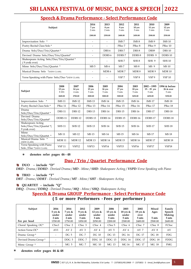| Subject                                                              | 2014<br>7 yrs<br>2 mts   | 2013<br>8 yrs<br>2 mts | 2012<br>9 yrs<br>3 mts | 2011<br>$10$ yrs<br>3 mts | 2010<br>11 yrs<br>3 mts | 2009<br>$12 \text{ yrs}$<br>3 mts |
|----------------------------------------------------------------------|--------------------------|------------------------|------------------------|---------------------------|-------------------------|-----------------------------------|
|                                                                      | 2300.00                  | 2350.00                | 2400.00                | 2450.00                   | 2500.00                 | 2550.00                           |
| Improvisation Solo *                                                 | $\overline{\phantom{0}}$ |                        | IMS <sub>7</sub>       | IMS 8                     | IMS <sub>9</sub>        | <b>IMS 10</b>                     |
| Poetry Recital Class Solo *                                          |                          |                        | PRec 7                 | PRec 8                    | PRec 9                  | PRec 10                           |
| Drama Solo/Duo/Trio/Quartet*                                         |                          | DRS 6                  | DRS <sub>7</sub>       | DRS 8                     | DRS9                    | <b>DRS10</b>                      |
| Devised Drama Solo/Duo/Trio/Quartet*                                 |                          | DDRS 6                 | DDRS <sub>7</sub>      | DDRS 8                    | DDRS 9                  | DDRS <sub>10</sub>                |
| Shakespeare Acting Solo/Duo/Trio/Quartet*<br>$(9 \text{vrs\& over})$ |                          |                        | SHS <sub>7</sub>       | SHS 8                     | SHS 9                   | <b>SHS 10</b>                     |
| Mime Solo/Duo/Trio/Quartet *                                         | MS <sub>5</sub>          | MS 6                   | MS 7                   | MS 8                      | MS <sub>9</sub>         | <b>MS10</b>                       |
| Musical Drama Solo *(NEW CLASS)                                      | $\overline{\phantom{0}}$ | MDR 6                  | MDR <sub>7</sub>       | MDR8                      | MDR 9                   | <b>MDR10</b>                      |
| Verse Speaking with Piano Solo/Duo *(NEW CLASS)                      |                          |                        | VSP <sub>7</sub>       | VSP <sub>8</sub>          | VSP 9                   | <b>VSP 10</b>                     |

#### **Speech & Drama Performance - Select Performance Code**

| Subject                                                        | 2008<br>13 yrs<br>4 mts<br>2600.00 | 2007<br>14 yrs<br>4 mts<br>2700.00 | 2006<br>$15$ yrs<br>5 mts<br>2800.00 | 2005<br>$16$ yrs<br>5 mts<br>3000.00 | 2004<br>$17$ yrs<br>5 mts<br>3200.00 | 2003<br>18 yrs<br>5 mts<br>3450.00 | $2002 - 1995$<br>$19 - 25$ vrs<br>5 mts<br>4450.00 | 1994 & before<br>26 & over<br>5 mts<br>5250.00 |
|----------------------------------------------------------------|------------------------------------|------------------------------------|--------------------------------------|--------------------------------------|--------------------------------------|------------------------------------|----------------------------------------------------|------------------------------------------------|
| Improvisation Solo *                                           | <b>IMS 11</b>                      | <b>IMS12</b>                       | <b>IMS 13</b>                        | <b>IMS 14</b>                        | <b>IMS 15</b>                        | <b>IMS 16</b>                      | <b>IMS 17</b>                                      | IMS <sub>18</sub>                              |
| Poetry Recital Class Solo*                                     | PRec 11                            | PRec 12                            | PRec 13                              | PRec 14                              | PRec 15                              | PRec 16                            | PRec 17                                            | PRec 18                                        |
| Drama<br>Solo/Duo/Trio/Ouartet*                                | <b>DRS11</b>                       | DRS <sub>12</sub>                  | DRS <sub>13</sub>                    | DRS <sub>14</sub>                    | <b>DRS 15</b>                        | <b>DRS</b> 16                      | DRS <sub>17</sub>                                  | DRS <sub>18</sub>                              |
| Devised Drama<br>Solo/Duo/Trio/Quartet*                        | DDRS <sub>11</sub>                 | DDRS <sub>12</sub>                 | DDRS <sub>13</sub>                   | DDRS <sub>14</sub>                   | DDRS <sub>15</sub>                   | DDRS <sub>16</sub>                 | DDRS <sub>17</sub>                                 | DDRS <sub>18</sub>                             |
| Shakespeare Acting<br>Solo/Duo/Trio/Quartet *(<br>9 yrs& over) | <b>SHS11</b>                       | SHS <sub>12</sub>                  | SHS <sub>13</sub>                    | SHS <sub>14</sub>                    | <b>SHS 15</b>                        | <b>SHS 16</b>                      | <b>SHS17</b>                                       | SHS <sub>18</sub>                              |
| Mime<br>Solo/Duo/Trio/Quartet *                                | <b>MS11</b>                        | <b>MS12</b>                        | <b>MS13</b>                          | <b>MS14</b>                          | <b>MS15</b>                          | MS 16                              | <b>MS17</b>                                        | <b>MS18</b>                                    |
| Musical Drama Solo *<br>(NEW CLASS)                            | MDR <sub>11</sub>                  | <b>MDR12</b>                       | MDR <sub>13</sub>                    | MDR <sub>14</sub>                    | <b>MDR15</b>                         | <b>MDR16</b>                       | MDR <sub>17</sub>                                  | MDR <sub>18</sub>                              |
| Verse Speaking with Piano<br>Solo / Duo * (NEW CLASS)          | <b>VSP 11</b>                      | VSP <sub>12</sub>                  | VSP <sub>13</sub>                    | VSP14                                | VSP <sub>15</sub>                    | VSP <sub>16</sub>                  | VSP17                                              | VSP <sub>18</sub>                              |

**denotes refer pages 46 - 48 \***

#### **Duo / Trio / Quartet Performance Code**

**DUO - include "D"**

*DRD - Drama / DDRD - Devised Drama / MD - Mime / SHD- Shakespeare Acting / VSPD-Verse Speaking wih Piano*

**TRIO - include "T"** 

*DRT - Drama / DDRT - Devised Drama / MT - Mime / SHT - Shakespeare Acting*

#### **QUARTET - include "Q"**

*DRQ - Drama / DDRQ - Devised Drama / MQ - Mime / SHQ- Shakespeare Acting* 

**Speech & Drama GROUP Performance - Select Performance Code**

#### **( 5 or more Performers - Fees per performer )**

| Subject<br>Fee per head | 2016<br>$5 \text{ yrs}$ &<br>under<br>2 mts<br>1550.00 | 2014<br>$7 \,\mathrm{yrs} \&$<br>under<br>2 mts<br>1750.00 | 2012<br>$9 \text{ yrs}$ &<br>under<br>3 mts<br>1850.00 | 2009<br>12 yrs $\&$<br>under<br>3 mts<br>2050.00 | 2006<br>15 yrs $\&$<br>under<br>5 mts<br>2200.00 | 2003<br>18 yrs $\&$<br>under<br>5 mts<br>2300.00 | 2002<br>19 yrs $\&$<br>over<br>5 mts<br>2400.00 | Mixed<br>Ages<br>5 mts<br>2500.00 | Family<br><b>Speech</b><br>Making<br>5 mts<br>2600.00 |
|-------------------------|--------------------------------------------------------|------------------------------------------------------------|--------------------------------------------------------|--------------------------------------------------|--------------------------------------------------|--------------------------------------------------|-------------------------------------------------|-----------------------------------|-------------------------------------------------------|
| Choral Speaking OC*     | CSoc1                                                  | C <sub>5</sub> oc <sub>2</sub>                             | CSoc <sub>3</sub>                                      | CSoc <sub>4</sub>                                | CSoc <sub>5</sub>                                | CSoc <sub>6</sub>                                | CSoc 7                                          | CSoc <sub>8</sub>                 | FCSoc                                                 |
| Action Verse OC*        | AV1                                                    | AV <sub>2</sub>                                            | AV <sub>3</sub>                                        | AV 4                                             | AV <sub>5</sub>                                  | AV 6                                             | AV 7                                            | AV 8                              | AV                                                    |
| Drama Group*            | $\overline{\phantom{a}}$                               | DG <sub>5</sub>                                            | DG <sub>7</sub>                                        | DG 10                                            | DG 13                                            | DG 16                                            | DG 17                                           | DG 18                             | <b>FDG</b>                                            |
| Devised Drama Group*    | $\overline{\phantom{a}}$                               | DDG 5                                                      | DDG 7                                                  | DDG <sub>10</sub>                                | <b>DDG 13</b>                                    | <b>DDG 16</b>                                    | DDG 17                                          | <b>DDG 18</b>                     | <b>FDDG</b>                                           |
| Mime Group *            | $\overline{\phantom{a}}$                               | MG 5                                                       | MG <sub>7</sub>                                        | $MG_10$                                          | MG 13                                            | MG 16                                            | MG 17                                           | MG 18                             | <b>FMG</b>                                            |

#### **denotes refer pages 46 & 48 \***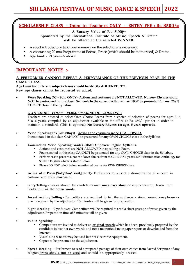#### **SCHOLARSHIP CLASS - Open to Teachers ONLY - ENTRY FEE : Rs. 8500/=**

**A Bursary Value of Rs. 15,000/=** 

**Sponsored by the Internatinoal Institute of Music, Speech & Drama will be offered to the selected WINNER.**

- A short introductory talk from memory on the selections is necessary.
- A contrasting 20 mts Programme of Poems, Prose (which should be memorised) & Drama.
- Age limit 21 years & above

#### **IMPORTANT NOTES :-**

#### **A PERFORMER CANNOT REPEAT A PERFORMANCE OF THE PREVIOUS YEAR IN THE SAME CLASS.**

**Age Limit for different subject classes should be strictly ADHERED, TO. New age classes cannot be requested or added.**

• **Verse Speaking OC – Solo ONLY - Actions and costumes are NOT ALLOWED. Nursery Rhymes could NOT be performed in this class. Set work in the current syllabus may NOT be presented for any OWN CHOICE class in the Syllabus.**

#### *OWN CHOICE POEMS – VERSE SPEAKING OC – SOLO ONLY*

Teachers are advised to select Own Choice Poems from a choice of selection of poems for ages 3, 4, 5 & 6 years, compiled by an adjudicator available in the office at Rs. 350/- per set in order to maintain a standard. (This is optional) **No Nursery Rhymes for ages 5 years upwards.**

- **Verse Speaking SW(Girls/Boys) - Actions and costumes are NOT ALLOWED.** Poems stated in this class CANNOT be presented for any OWN CHOICE class in the Syllabus.
- **Examination Verse Speaking Grades - IIMSD Spoken English Syllabus.**
	- Actions and costumes are NOT ALLOWED in speaking a Poem.
	- Poems stated in this class CANNOT be presented for any OWN CHOICE class in the Syllabus.
	- **•** Performers to present a poem of own choice from the CURRENT year IIMSD Examination Anthology for Spoken English which is stated below.
	- Please DO NOT select below mentioned poems for OWN CHOICE class.
- **Acting of a Poem (Solo/Duo/Trio/Quartet)-** Performers to present a dramatization of a poem in costume and with movement.
- **Story Telling** Stories should be candidate's own **imaginary story** or any other story taken from books, **but in their own words.**
- **Inventive Story Telling** Competitors are required to tell the audience a story, around one phrase or one line given by the adjudicator. 15 minutes will be given for preparation.
- **Sight Reading**  7 yrs& over Competitors will be required to read a short passage of prose given by the adjudicator. Preparation time of 5 minutes will be given.
- **Public Speaking**
	- Competitors are invited to deliver an **original speech** which has been previously prepared by the candidate in his/her own words and not a memorized newspaper report or downloaded from the Internet.
	- Visual aids & notes may be used but not electronic equipment.
	- Copies to be presented to the adjudicator.
- **Sacred Reading**  Performers to read a prepared passage of their own choice from Sacred Scripture of any religion.**Props should not be used** and should be appropriately dressed.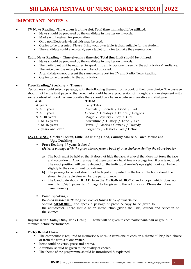### **IMPORTANT NOTES :-**

• **TV News Reading -Time given is a time slot. Total time limit should be utilized**.

- News should be prepared by the candidate in his/her own words.
- Marks will be given for preparation.
- Only non Electronic visual aids may be used.
- Copies to be presented. Please Bring your own table & chair suitable for the student.
- The candidate could even stand, use a tablet for notes to make the presentation.

• **Radio News Reading** - **Time given is a time slot. Total time limit should be utilized.**

- News should be prepared by the candidate in his/her own words.
- The participant will be required to speak into a microphone unseen to the adjudicator & audience. The voice over the microphone will be adjudicated.
- A candidate cannot present the same news report for TV and Radio News Reading.
- Copies to be presented to the adjudicator.

#### • **Prose Reading / Speaking - Themes**

Performers should select a passage, with the following themes, from a book of their own choice. The passage should not be the first page of the book, but should have a progression of thought and development with some contrast of mood. Where possible there should be a balance between narrative and dialogue.

| <b>THEME</b><br>AGE                                        |  |
|------------------------------------------------------------|--|
| <b>Fairy Tales</b><br>4 years                              |  |
| Animals / Friends / Good / Bad<br>$5 \& 6 \text{ years}$   |  |
| School / Holidays / Fairies / Dragons<br>$7 & 8$ years     |  |
| 9 & 10 years<br>Magic / Mystery / Boy / Girl               |  |
| Adventure / History / Land / Sea<br>11 to 13 years         |  |
| Travel / Diaries / Comedy / Tragedy<br>14 to 16 years      |  |
| 17 years and over<br>Biography / Classics / Fact / Fiction |  |

#### **EXCLUDING Chicken Licken, Little Red Riding Hood, Country Mouse & Town Mouse and Ugly Duckling**

- Prose Reading (7 years & above) -**(***Select a passage with the given themes from a book of own choice excluding the above books)*
	- **a)** The book must be held so that it does not hide the face, at a level that does not force the face and voice down. Also in a way that there can be a hand free for a page turn if one is required. The exact position will partly depend on the individual reader's eye sight. Book can be held slightly to the side but not too extreme.
	- **b)** The passage to be read should not be typed and pasted on the book. The book should be shown to the Table Steward before performance.
	- **c)** The Candidate should **READ** from the **ORIGINAL BOOK** and a copy which does not run into 3/4/5 pages but 1 page to be given to the adjudicator. **Please do not read from memory.**
- **Prose Speaking** -

**(***Select a passage with the given themes from a book of own choice.)* Should **MEMORISE** and speak a passage of prose. A copy to be given to the adjudicator. There should be an introduction giving the Title, Author and selection of the extract.

- **Improvisation Solo / Duo / Trio / Group** Theme will be given to each participant, pair or group 15 minutes before performance.
- **Poetry Recital Class-**
	- The competitor is required to memorise & speak 2 items one of each on a **theme** of his/ her choice or from the works of one writer.
	- Items could be verse, prose and drama.
	- Attention should be given to the quality of choice.
	- The theme of the programme should be introduced  $\&$  explained.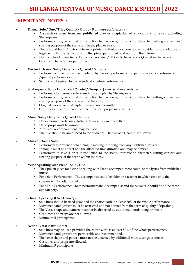#### **IMPORTANT NOTES :-**

- **Drama Solo / Duo / Trio / Quartet / Group ( 5 or more performers )** 
	- A speech or scene from any **published play or adaptation** of a novel or short story excluding Shakespeare.
	- Performers to give a brief introduction to the scene, introducing character, setting context and starting purpose of the scene within the play or story**.**
	- The original book / Extracts from a printed anthology or book to be provided to the adjudicator together with the photocopy of the piece performed and not from the Internet.
	- Drama Solo 1 character / Duo 2 characters / Trio 3 characters / Quartet -4 characters Group - 1 character per performer.
- **Devised Drama Solo / Duo / Trio / Quartet / Group** 
	- Perform from memory a play made up by the solo performer/duo performers /trio performers /quartet performers /group.
	- Synopsis to be given to the adjudicator before performance.

• **Shakespeare Solo / Duo / Trio / Quartet / Group – ( 9 yrs & above only ) –**

- Performers to present a solo scene from any play by Shakespeare.
	- Performers to give a brief introduction to the scene, introducing character, setting context and starting purpose of the scene within the story.
	- Original works only. Adaptations are not permitted.
	- Costumes are allowed and simple practical props may be used.

#### • **Mime Solo / Duo / Trio / Quartet / Group**-

- Dark coloured body suit/clothing & make up are permitted.
- Hand props must be mimed.
- A musical accompaniment may be used.
- **•** The title should be announced to the audience. The use of a Chair/s is allowed.
- **Musical Drama Solo**
	- Performers to present a solo dialogue moving into song from any Published Musical.
	- Dialogue must be atleast half the allocated time duration and may be devised.
	- **•** Performers to give a brief introduction to the scene, introducing character, setting context and starting purpose of the scene within the story.
- **Verse Speaking with Piano** Solo /Duo
	- The Spoken piece for Verse Speaking with Piano accompaniment could be the lyrics from published music.
	- **•** For a Solo Performance The accompanist could be older or a teacher in which case only the speaker will be adjudicated.
	- For a Duo Performance Both performers,the Accompanist and the Speaker should be of the same age category.
- **Choral Speaking (Own Choice)** 
	- Solo lines should be used provided the choric work is at least 80% of the whole performance.
	- Movement and gesture must be restricted and not detract from the form or quality of Speaking.
	- The Verse shape and pattern must not be distorted by additional words, song or music.
	- Costumes and props are not allowed.
	- **■** Minimum 5 participants.

#### • **Action Verse (Own Choice) -**

- Solo lines may be used provided the choric work is at least 80% of the whole performance.
- Movement and gesture are permissible and recommended.
- The verse shape and pattern must not be distorted by additional words, songs or music.
- Costumes and props are allowed.
- Minimum 5 participants.